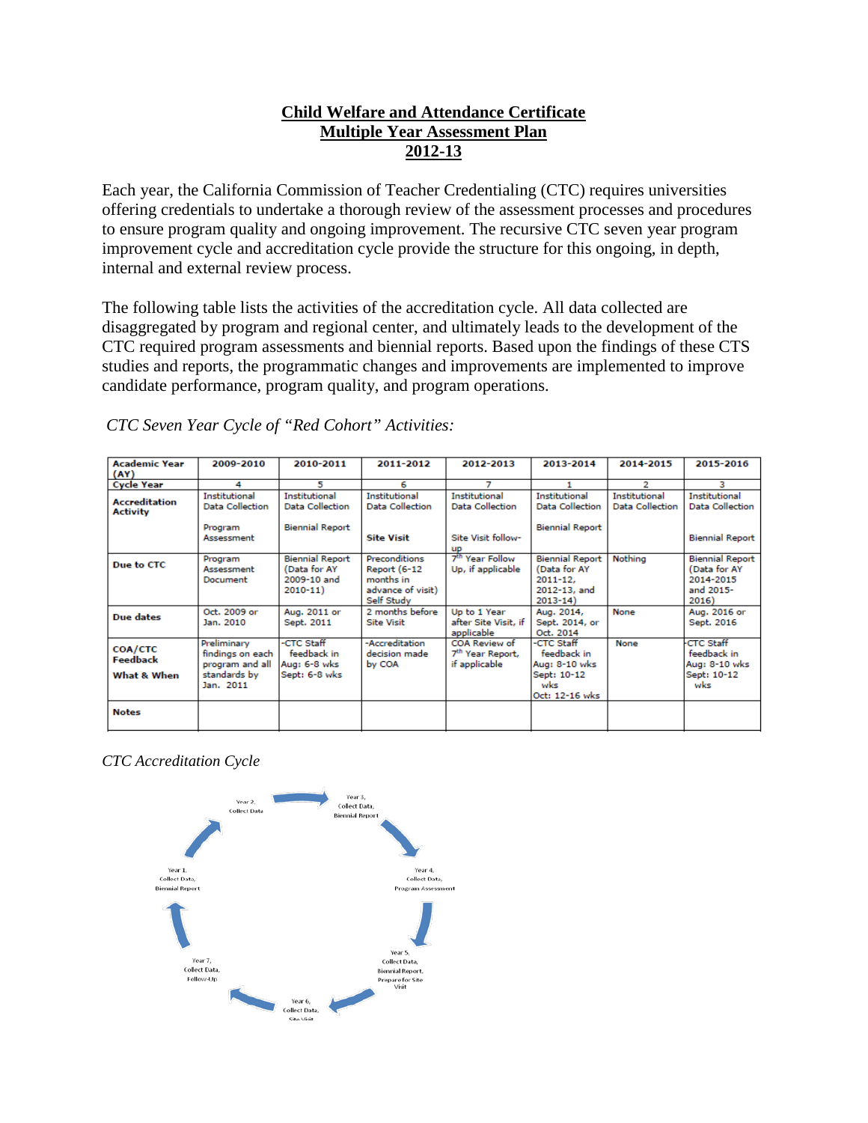# **Child Welfare and Attendance Certificate Multiple Year Assessment Plan 2012-13**

Each year, the California Commission of Teacher Credentialing (CTC) requires universities offering credentials to undertake a thorough review of the assessment processes and procedures to ensure program quality and ongoing improvement. The recursive CTC seven year program improvement cycle and accreditation cycle provide the structure for this ongoing, in depth, internal and external review process.

The following table lists the activities of the accreditation cycle. All data collected are disaggregated by program and regional center, and ultimately leads to the development of the CTC required program assessments and biennial reports. Based upon the findings of these CTS studies and reports, the programmatic changes and improvements are implemented to improve candidate performance, program quality, and program operations.

| <b>Academic Year</b><br>(AY)              | 2009-2010                                                                       | 2010-2011                                                            | 2011-2012                                                                                   | 2012-2013                                                      | 2013-2014                                                                             | 2014-2015                                      | 2015-2016                                                                 |
|-------------------------------------------|---------------------------------------------------------------------------------|----------------------------------------------------------------------|---------------------------------------------------------------------------------------------|----------------------------------------------------------------|---------------------------------------------------------------------------------------|------------------------------------------------|---------------------------------------------------------------------------|
| <b>Cycle Year</b>                         | 4                                                                               | 5                                                                    | 6                                                                                           |                                                                |                                                                                       | 2                                              | R                                                                         |
| <b>Accreditation</b><br>Activity          | <b>Institutional</b><br><b>Data Collection</b>                                  | <b>Institutional</b><br><b>Data Collection</b>                       | <b>Institutional</b><br><b>Data Collection</b>                                              | <b>Institutional</b><br><b>Data Collection</b>                 | <b>Institutional</b><br><b>Data Collection</b>                                        | <b>Institutional</b><br><b>Data Collection</b> | <b>Institutional</b><br><b>Data Collection</b>                            |
|                                           | Program<br>Assessment                                                           | <b>Biennial Report</b>                                               | <b>Site Visit</b>                                                                           | Site Visit follow-<br>up                                       | <b>Biennial Report</b>                                                                |                                                | <b>Biennial Report</b>                                                    |
| Due to CTC                                | Program<br>Assessment<br>Document                                               | <b>Biennial Report</b><br>(Data for AY<br>2009-10 and<br>$2010 - 11$ | <b>Preconditions</b><br><b>Report (6-12</b><br>months in<br>advance of visit)<br>Self Study | 7 <sup>th</sup> Year Follow<br>Up, if applicable               | <b>Biennial Report</b><br>(Data for AY<br>$2011 - 12.$<br>2012-13, and<br>$2013 - 14$ | Nothing                                        | <b>Biennial Report</b><br>(Data for AY<br>2014-2015<br>and 2015-<br>2016) |
| Due dates                                 | Oct. 2009 or<br>Jan. 2010                                                       | Aug. 2011 or<br>Sept. 2011                                           | 2 months before<br><b>Site Visit</b>                                                        | Up to 1 Year<br>after Site Visit, if<br>applicable             | Aug. 2014,<br>Sept. 2014, or<br>Oct. 2014                                             | None                                           | Aug. 2016 or<br>Sept. 2016                                                |
| <b>COA/CTC</b><br>Feedback<br>What & When | Preliminary<br>findings on each<br>program and all<br>standards by<br>Jan. 2011 | -CTC Staff<br>feedback in<br>Aug: 6-8 wks<br>Sept: 6-8 wks           | -Accreditation<br>decision made<br>by COA                                                   | COA Review of<br>7 <sup>th</sup> Year Report,<br>if applicable | -CTC Staff<br>feedback in<br>Aug: 8-10 wks<br>Sept: 10-12<br>wks<br>Oct: 12-16 wks    | None                                           | <b>CTC Staff</b><br>feedback in<br>Aug: 8-10 wks<br>Sept: 10-12<br>wks    |
| <b>Notes</b>                              |                                                                                 |                                                                      |                                                                                             |                                                                |                                                                                       |                                                |                                                                           |

*CTC Accreditation Cycle*

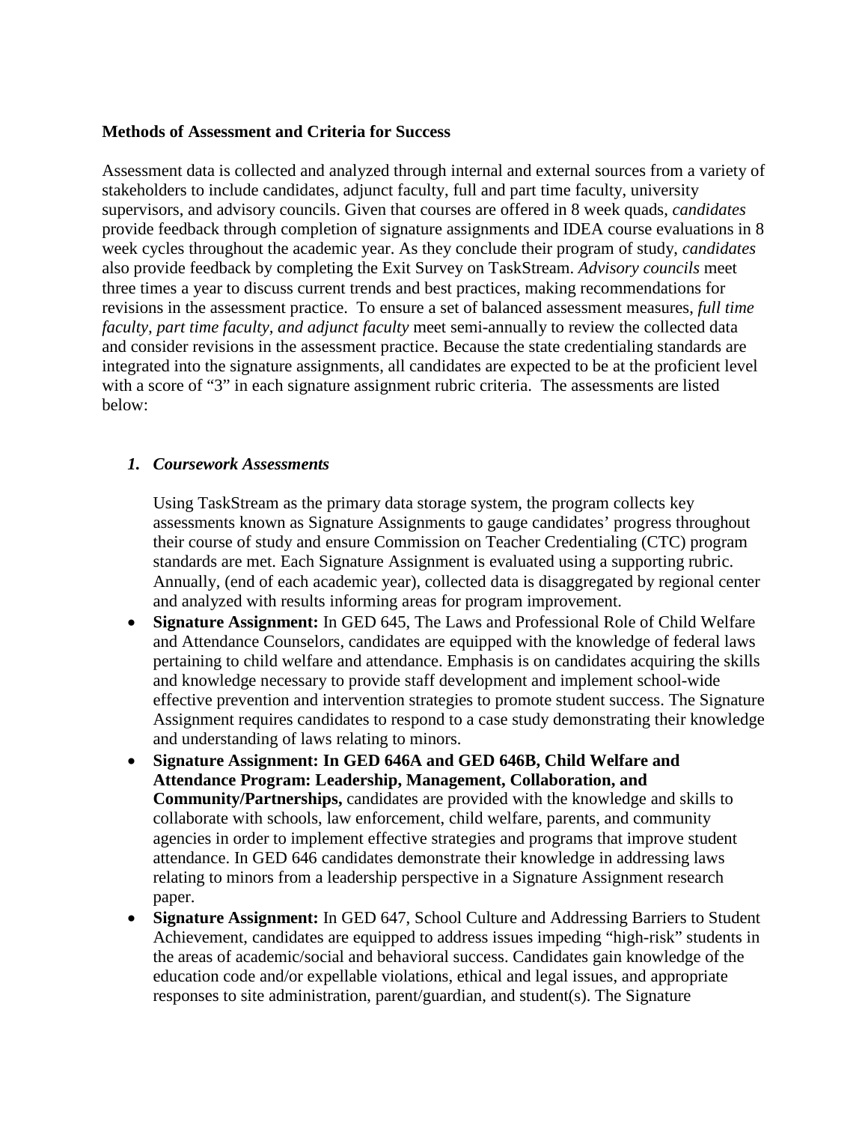### **Methods of Assessment and Criteria for Success**

Assessment data is collected and analyzed through internal and external sources from a variety of stakeholders to include candidates, adjunct faculty, full and part time faculty, university supervisors, and advisory councils. Given that courses are offered in 8 week quads, *candidates* provide feedback through completion of signature assignments and IDEA course evaluations in 8 week cycles throughout the academic year. As they conclude their program of study, *candidates* also provide feedback by completing the Exit Survey on TaskStream. *Advisory councils* meet three times a year to discuss current trends and best practices, making recommendations for revisions in the assessment practice. To ensure a set of balanced assessment measures, *full time faculty, part time faculty, and adjunct faculty* meet semi-annually to review the collected data and consider revisions in the assessment practice. Because the state credentialing standards are integrated into the signature assignments, all candidates are expected to be at the proficient level with a score of "3" in each signature assignment rubric criteria. The assessments are listed below:

### *1. Coursework Assessments*

Using TaskStream as the primary data storage system, the program collects key assessments known as Signature Assignments to gauge candidates' progress throughout their course of study and ensure Commission on Teacher Credentialing (CTC) program standards are met. Each Signature Assignment is evaluated using a supporting rubric. Annually, (end of each academic year), collected data is disaggregated by regional center and analyzed with results informing areas for program improvement.

- **Signature Assignment:** In GED 645, The Laws and Professional Role of Child Welfare and Attendance Counselors, candidates are equipped with the knowledge of federal laws pertaining to child welfare and attendance. Emphasis is on candidates acquiring the skills and knowledge necessary to provide staff development and implement school-wide effective prevention and intervention strategies to promote student success. The Signature Assignment requires candidates to respond to a case study demonstrating their knowledge and understanding of laws relating to minors.
- **Signature Assignment: In GED 646A and GED 646B, Child Welfare and Attendance Program: Leadership, Management, Collaboration, and Community/Partnerships,** candidates are provided with the knowledge and skills to collaborate with schools, law enforcement, child welfare, parents, and community agencies in order to implement effective strategies and programs that improve student attendance. In GED 646 candidates demonstrate their knowledge in addressing laws relating to minors from a leadership perspective in a Signature Assignment research paper.
- **Signature Assignment:** In GED 647, School Culture and Addressing Barriers to Student Achievement, candidates are equipped to address issues impeding "high-risk" students in the areas of academic/social and behavioral success. Candidates gain knowledge of the education code and/or expellable violations, ethical and legal issues, and appropriate responses to site administration, parent/guardian, and student(s). The Signature